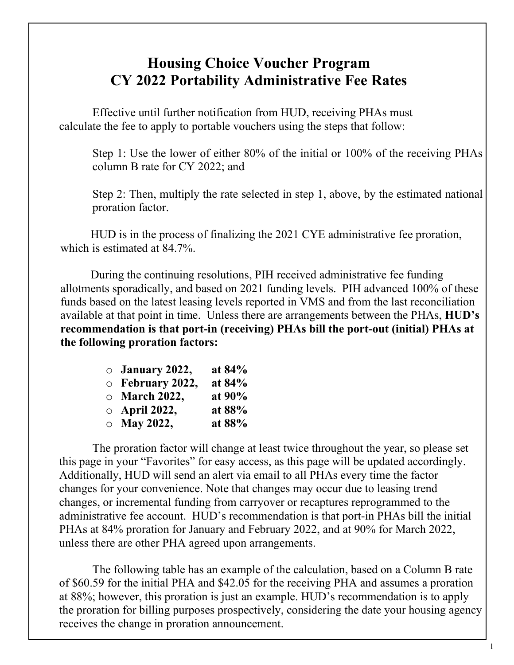## **Housing Choice Voucher Program CY 2022 Portability Administrative Fee Rates**

Effective until further notification from HUD, receiving PHAs must calculate the fee to apply to portable vouchers using the steps that follow:

Step 1: Use the lower of either 80% of the initial or 100% of the receiving PHAs column B rate for CY 2022; and

Step 2: Then, multiply the rate selected in step 1, above, by the estimated national proration factor.

HUD is in the process of finalizing the 2021 CYE administrative fee proration, which is estimated at 84.7%.

During the continuing resolutions, PIH received administrative fee funding allotments sporadically, and based on 2021 funding levels. PIH advanced 100% of these funds based on the latest leasing levels reported in VMS and from the last reconciliation available at that point in time. Unless there are arrangements between the PHAs, **HUD's recommendation is that port-in (receiving) PHAs bill the port-out (initial) PHAs at the following proration factors:** 

| $\circ$ January 2022,  | at 84% |
|------------------------|--------|
| $\circ$ February 2022, | at 84% |
| $\circ$ March 2022,    | at 90% |
| $\circ$ April 2022,    | at 88% |
| $\circ$ May 2022,      | at 88% |

The proration factor will change at least twice throughout the year, so please set this page in your "Favorites" for easy access, as this page will be updated accordingly. Additionally, HUD will send an alert via email to all PHAs every time the factor changes for your convenience. Note that changes may occur due to leasing trend changes, or incremental funding from carryover or recaptures reprogrammed to the administrative fee account. HUD's recommendation is that port-in PHAs bill the initial PHAs at 84% proration for January and February 2022, and at 90% for March 2022, unless there are other PHA agreed upon arrangements.

The following table has an example of the calculation, based on a Column B rate of \$60.59 for the initial PHA and \$42.05 for the receiving PHA and assumes a proration at 88%; however, this proration is just an example. HUD's recommendation is to apply the proration for billing purposes prospectively, considering the date your housing agency receives the change in proration announcement.